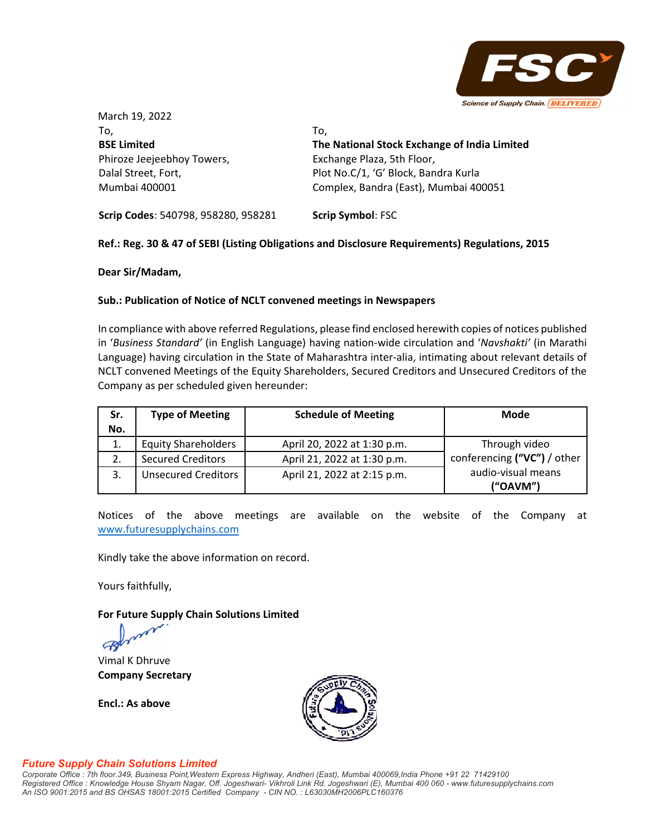

March 19, 2022 To, **BSE Limited** Phiroze Jeejeebhoy Towers, Dalal Street, Fort, Mumbai 400001 To, **The National Stock Exchange of India Limited** Exchange Plaza, 5th Floor, Plot No.C/1, 'G' Block, Bandra Kurla Complex, Bandra (East), Mumbai 400051

**Scrip Codes**: 540798, 958280, 958281 **Scrip Symbol**: FSC

## **Ref.: Reg. 30 & 47 of SEBI (Listing Obligations and Disclosure Requirements) Regulations, 2015**

**Dear Sir/Madam,** 

## **Sub.: Publication of Notice of NCLT convened meetings in Newspapers**

In compliance with above referred Regulations, please find enclosed herewith copies of notices published in '*Business Standard'* (in English Language) having nation‐wide circulation and '*Navshakti'* (in Marathi Language) having circulation in the State of Maharashtra inter-alia, intimating about relevant details of NCLT convened Meetings of the Equity Shareholders, Secured Creditors and Unsecured Creditors of the Company as per scheduled given hereunder:

| Sr.<br>No. | <b>Type of Meeting</b>     | <b>Schedule of Meeting</b>  | <b>Mode</b>                    |
|------------|----------------------------|-----------------------------|--------------------------------|
| 1.         | <b>Equity Shareholders</b> | April 20, 2022 at 1:30 p.m. | Through video                  |
| 2.         | <b>Secured Creditors</b>   | April 21, 2022 at 1:30 p.m. | conferencing ("VC") / other    |
|            | <b>Unsecured Creditors</b> | April 21, 2022 at 2:15 p.m. | audio-visual means<br>("OAVM") |

Notices of the above meetings are available on the website of the Company at www.futuresupplychains.com

Kindly take the above information on record.

Yours faithfully,

**For Future Supply Chain Solutions Limited**

Vimal K Dhruve **Company Secretary**

**Encl.: As above**



## *Future Supply Chain Solutions Limited*

*Corporate Office : 7th floor.349, Business Point,Western Express Highway, Andheri (East), Mumbai 400069,India Phone +91 22 71429100 Registered Office : Knowledge House Shyam Nagar, Off. Jogeshwari- Vikhroli Link Rd. Jogeshwari (E), Mumbai 400 060 - www.futuresupplychains.com An ISO 9001:2015 and BS OHSAS 18001:2015 Certified Company - CIN NO. : L63030MH2006PLC160376*